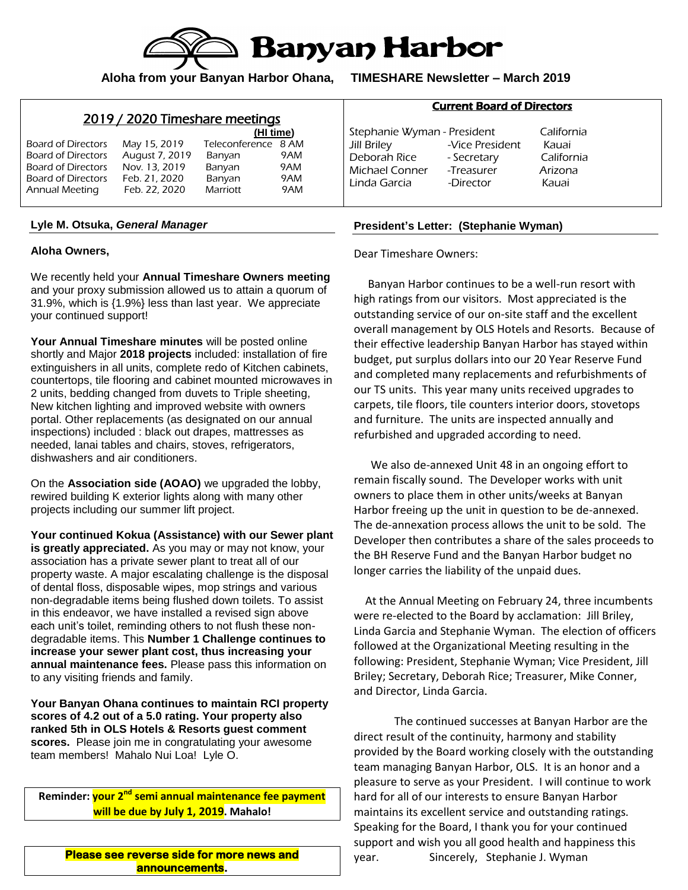

**Aloha from your Banyan Harbor Ohana, TIMESHARE Newsletter – March 2019**

|  | 2019 / 2020 Timeshare meetings |  |
|--|--------------------------------|--|
|  |                                |  |

|                    |                | (HI time)           |     |
|--------------------|----------------|---------------------|-----|
| Board of Directors | May 15, 2019   | Teleconference 8 AM |     |
| Board of Directors | August 7, 2019 | Banyan              | 9AM |
| Board of Directors | Nov. 13, 2019  | Banyan              | 9AM |
| Board of Directors | Feb. 21, 2020  | Banyan              | 9AM |
| Annual Meeting     | Feb. 22, 2020  | Marriott            | 9AM |

### **Lyle M. Otsuka,** *General Manager*

### **Aloha Owners,**

We recently held your **Annual Timeshare Owners meeting** and your proxy submission allowed us to attain a quorum of 31.9%, which is {1.9%} less than last year. We appreciate your continued support!

**Your Annual Timeshare minutes** will be posted online shortly and Major **2018 projects** included: installation of fire extinguishers in all units, complete redo of Kitchen cabinets, countertops, tile flooring and cabinet mounted microwaves in 2 units, bedding changed from duvets to Triple sheeting, New kitchen lighting and improved website with owners portal. Other replacements (as designated on our annual inspections) included : black out drapes, mattresses as needed, lanai tables and chairs, stoves, refrigerators, dishwashers and air conditioners.

On the **Association side (AOAO)** we upgraded the lobby, rewired building K exterior lights along with many other projects including our summer lift project.

**Your continued Kokua (Assistance) with our Sewer plant is greatly appreciated.** As you may or may not know, your association has a private sewer plant to treat all of our property waste. A major escalating challenge is the disposal of dental floss, disposable wipes, mop strings and various non-degradable items being flushed down toilets. To assist in this endeavor, we have installed a revised sign above each unit's toilet, reminding others to not flush these nondegradable items. This **Number 1 Challenge continues to increase your sewer plant cost, thus increasing your annual maintenance fees.** Please pass this information on to any visiting friends and family.

**Your Banyan Ohana continues to maintain RCI property scores of 4.2 out of a 5.0 rating. Your property also ranked 5th in OLS Hotels & Resorts guest comment scores.** Please join me in congratulating your awesome team members! Mahalo Nui Loa! Lyle O.

**Reminder: your 2nd semi annual maintenance fee payment will be due by July 1, 2019. Mahalo!**

**Please see reverse side for more news and announcements.** 

## Current Board of Directors

Stephanie Wyman - President California Jill Briley -Vice President Kauai Deborah Rice - Secretary California Michael Conner -Treasurer Arizona Linda Garcia -Director Kauai

### **President's Letter: (Stephanie Wyman)**

Dear Timeshare Owners:

 Banyan Harbor continues to be a well-run resort with high ratings from our visitors. Most appreciated is the outstanding service of our on-site staff and the excellent overall management by OLS Hotels and Resorts. Because of their effective leadership Banyan Harbor has stayed within budget, put surplus dollars into our 20 Year Reserve Fund and completed many replacements and refurbishments of our TS units. This year many units received upgrades to carpets, tile floors, tile counters interior doors, stovetops and furniture. The units are inspected annually and refurbished and upgraded according to need.

 We also de-annexed Unit 48 in an ongoing effort to remain fiscally sound. The Developer works with unit owners to place them in other units/weeks at Banyan Harbor freeing up the unit in question to be de-annexed. The de-annexation process allows the unit to be sold. The Developer then contributes a share of the sales proceeds to the BH Reserve Fund and the Banyan Harbor budget no longer carries the liability of the unpaid dues.

 At the Annual Meeting on February 24, three incumbents were re-elected to the Board by acclamation: Jill Briley, Linda Garcia and Stephanie Wyman. The election of officers followed at the Organizational Meeting resulting in the following: President, Stephanie Wyman; Vice President, Jill Briley; Secretary, Deborah Rice; Treasurer, Mike Conner, and Director, Linda Garcia.

The continued successes at Banyan Harbor are the direct result of the continuity, harmony and stability provided by the Board working closely with the outstanding team managing Banyan Harbor, OLS. It is an honor and a pleasure to serve as your President. I will continue to work hard for all of our interests to ensure Banyan Harbor maintains its excellent service and outstanding ratings. Speaking for the Board, I thank you for your continued support and wish you all good health and happiness this year. Sincerely, Stephanie J. Wyman